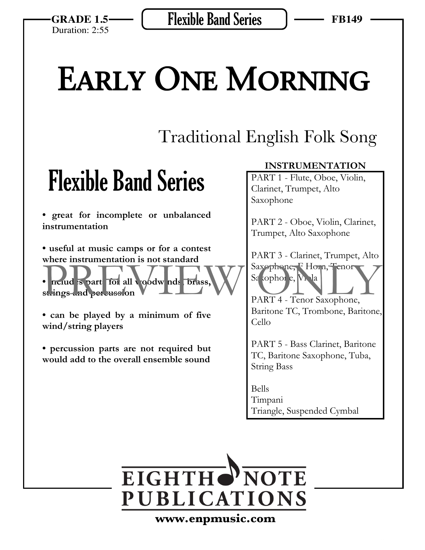Duration: 2:55

GRADE 1.5 **Flexible Band Series**  $\qquad$  **FB149** 

# EARLY ONE MORNING

## Traditional English Folk Song

## Flexible Band Series FART 1 - Flute, Oboe, Violin,

**• great for incomplete or unbalanced instrumentation**

**• useful at music camps or for a contest where instrumentation is not standard**

**• includes parts for all woodwinds, brass, strings and percussion** Reprise to the second of the second of the standard Sax ophole, Thomas Tenor<br>Strings and percussion and the standard Disassement of the Sax ophole, N. la Reprise to the Sax ophole,

**• can be played by a minimum of five wind/string players**

**• percussion parts are not required but would add to the overall ensemble sound**

#### **INSTRUMENTATION**

Clarinet, Trumpet, Alto Saxophone

PART 2 - Oboe, Violin, Clarinet, Trumpet, Alto Saxophone

PART 3 - Clarinet, Trumpet, Alto Saxophone, F Horn, Tenor Sa cophone, Viola

PART 4 - Tenor Saxophone, Baritone TC, Trombone, Baritone, Cello

PART 5 - Bass Clarinet, Baritone TC, Baritone Saxophone, Tuba, String Bass

Bells Timpani Triangle, Suspended Cymbal



**www.enpmusic.com**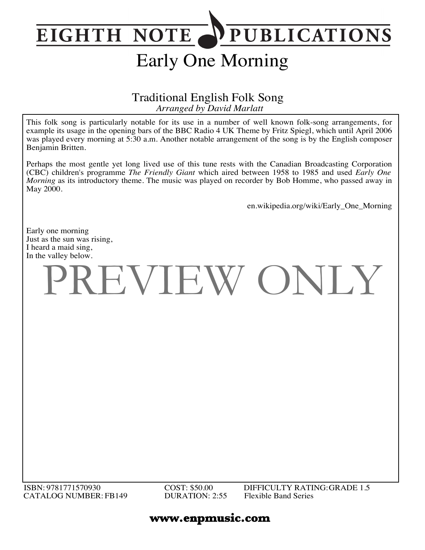## **PUBLICATIONS EIGHTH NOTE**

## Early One Morning

#### *Arranged by David Marlatt* Traditional English Folk Song

This folk song is particularly notable for its use in a number of well known folk-song arrangements, for example its usage in the opening bars of the BBC Radio 4 UK Theme by Fritz Spiegl, which until April 2006 was played every morning at 5:30 a.m. Another notable arrangement of the song is by the English composer Benjamin Britten.

Perhaps the most gentle yet long lived use of this tune rests with the Canadian Broadcasting Corporation (CBC) children's programme *The Friendly Giant* which aired between 1958 to 1985 and used *Early One Morning* as its introductory theme. The music was played on recorder by Bob Homme, who passed away in May 2000.

PREVIEW ONLY

en.wikipedia.org/wiki/Early\_One\_Morning

Early one morning Just as the sun was rising, I heard a maid sing, In the valley below.

#### ISBN: 9781771570930 CATALOG NUMBER: FB149

COST: \$50.00 DURATION: 2:55 DIFFICULTY RATING:GRADE 1.5 Flexible Band Series

### **www.enpmusic.com**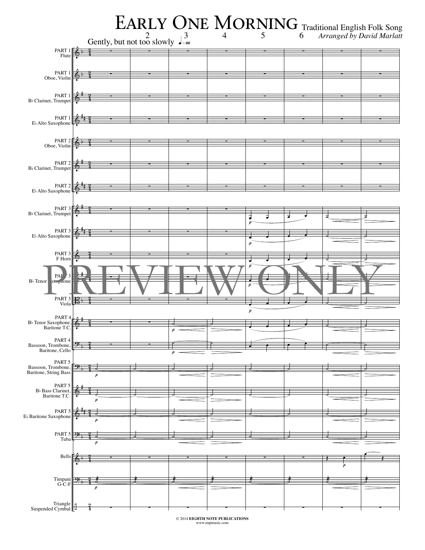

www.enpmusic.com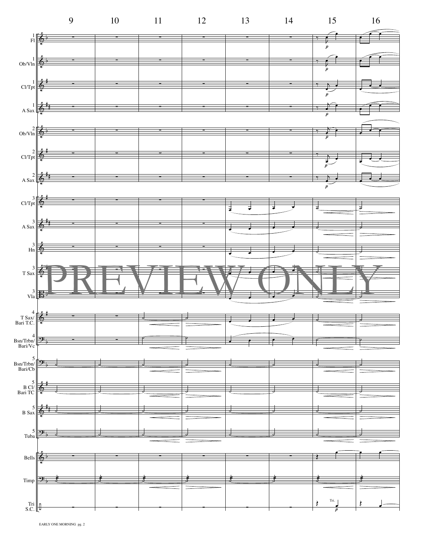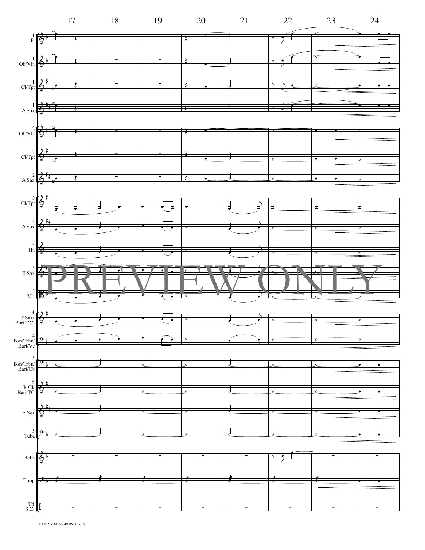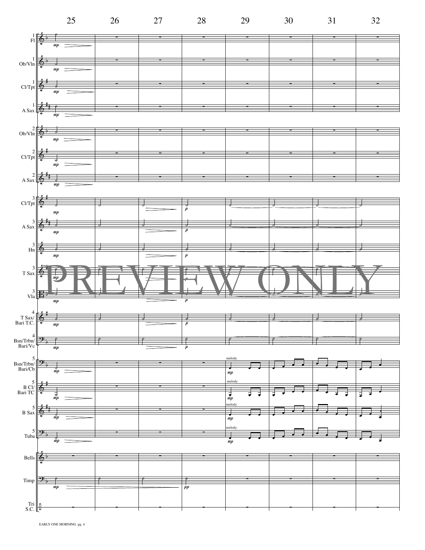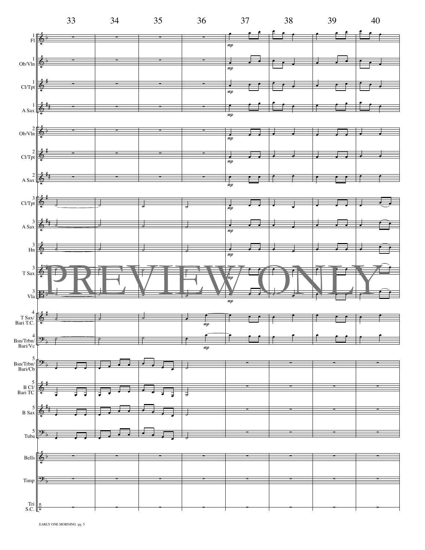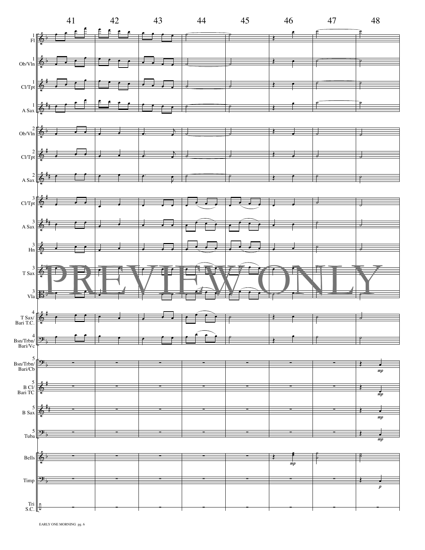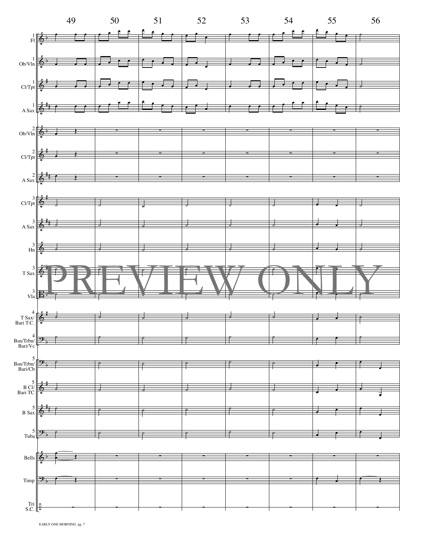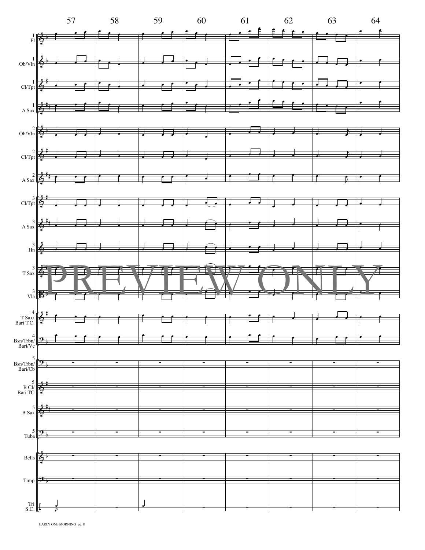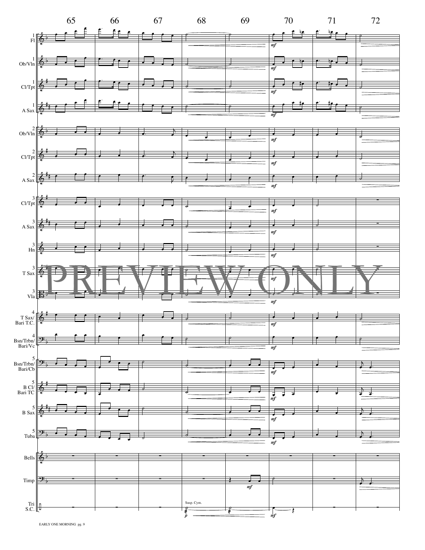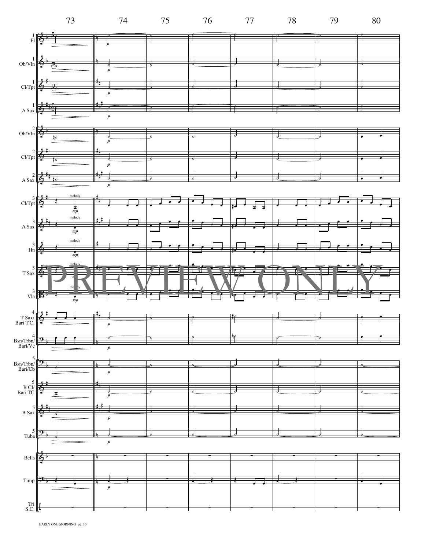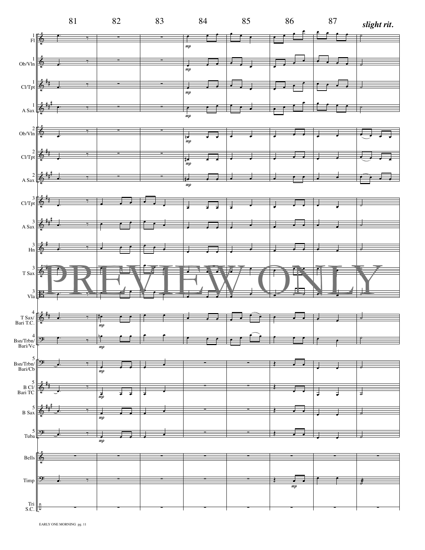